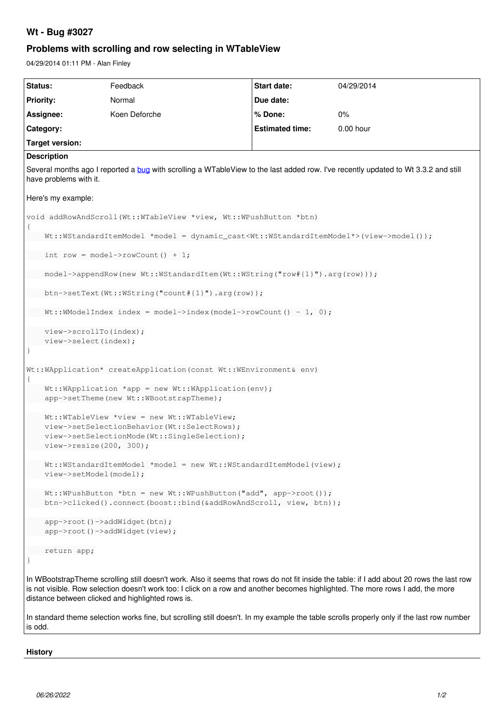# **Wt - Bug #3027**

# **Problems with scrolling and row selecting in WTableView**

04/29/2014 01:11 PM - Alan Finley

| Status:                                                                                                                                                                                                                                                                                                                           |                                                                                                                                         | Feedback                                     | <b>Start date:</b>     | 04/29/2014 |
|-----------------------------------------------------------------------------------------------------------------------------------------------------------------------------------------------------------------------------------------------------------------------------------------------------------------------------------|-----------------------------------------------------------------------------------------------------------------------------------------|----------------------------------------------|------------------------|------------|
|                                                                                                                                                                                                                                                                                                                                   | <b>Priority:</b>                                                                                                                        | Normal                                       | Due date:              |            |
|                                                                                                                                                                                                                                                                                                                                   | Assignee:                                                                                                                               | Koen Deforche                                | % Done:                | $0\%$      |
|                                                                                                                                                                                                                                                                                                                                   | Category:                                                                                                                               |                                              | <b>Estimated time:</b> | 0.00 hour  |
| <b>Target version:</b>                                                                                                                                                                                                                                                                                                            |                                                                                                                                         |                                              |                        |            |
| <b>Description</b>                                                                                                                                                                                                                                                                                                                |                                                                                                                                         |                                              |                        |            |
| Several months ago I reported a bug with scrolling a WTableView to the last added row. I've recently updated to Wt 3.3.2 and still<br>have problems with it.                                                                                                                                                                      |                                                                                                                                         |                                              |                        |            |
| Here's my example:                                                                                                                                                                                                                                                                                                                |                                                                                                                                         |                                              |                        |            |
| void addRowAndScroll(Wt::WTableView *view, Wt::WPushButton *btn)                                                                                                                                                                                                                                                                  |                                                                                                                                         |                                              |                        |            |
| Wt::WStandardItemModel *model = dynamic_cast <wt::wstandarditemmodel*>(view-&gt;model());</wt::wstandarditemmodel*>                                                                                                                                                                                                               |                                                                                                                                         |                                              |                        |            |
| int row = model->rowCount() + 1;                                                                                                                                                                                                                                                                                                  |                                                                                                                                         |                                              |                        |            |
|                                                                                                                                                                                                                                                                                                                                   | model->appendRow(new Wt::WStandardItem(Wt::WString("row#{1}").arg(row)));                                                               |                                              |                        |            |
|                                                                                                                                                                                                                                                                                                                                   | btn->setText(Wt::WString("count#{1}").arg(row));                                                                                        |                                              |                        |            |
|                                                                                                                                                                                                                                                                                                                                   | $Wt:$ : WModelIndex index = model->index (model->rowCount () - 1, 0);                                                                   |                                              |                        |            |
|                                                                                                                                                                                                                                                                                                                                   | view->scrollTo(index);<br>view->select(index);                                                                                          |                                              |                        |            |
|                                                                                                                                                                                                                                                                                                                                   |                                                                                                                                         |                                              |                        |            |
| Wt:: WApplication* createApplication (const Wt:: WEnvironment & env)                                                                                                                                                                                                                                                              |                                                                                                                                         |                                              |                        |            |
|                                                                                                                                                                                                                                                                                                                                   | $Wt: : W\$<br>app->setTheme(new Wt:: WBootstrapTheme);                                                                                  |                                              |                        |            |
|                                                                                                                                                                                                                                                                                                                                   | $Wt$ ::WTableView *view = new Wt::WTableView;<br>view->setSelectionBehavior(Wt::SelectRows);                                            |                                              |                        |            |
|                                                                                                                                                                                                                                                                                                                                   |                                                                                                                                         | view->setSelectionMode(Wt::SingleSelection); |                        |            |
|                                                                                                                                                                                                                                                                                                                                   | $view\text{-}\text{resize(200, 300)};$                                                                                                  |                                              |                        |            |
|                                                                                                                                                                                                                                                                                                                                   | Wt::WStandardItemModel *model = new Wt::WStandardItemModel(view);<br>view->setModel(model);                                             |                                              |                        |            |
|                                                                                                                                                                                                                                                                                                                                   | $Wt$ ::WPushButton *btn = new Wt::WPushButton("add", app->root());<br>btn->clicked().connect(boost::bind(&addRowAndScroll, view, btn)); |                                              |                        |            |
|                                                                                                                                                                                                                                                                                                                                   | app->root()->addWidget(btn);<br>app->root()->addWidget(view);                                                                           |                                              |                        |            |
|                                                                                                                                                                                                                                                                                                                                   | return app;                                                                                                                             |                                              |                        |            |
|                                                                                                                                                                                                                                                                                                                                   |                                                                                                                                         |                                              |                        |            |
| In WBootstrapTheme scrolling still doesn't work. Also it seems that rows do not fit inside the table: if I add about 20 rows the last row<br>is not visible. Row selection doesn't work too: I click on a row and another becomes highlighted. The more rows I add, the more<br>distance between clicked and highlighted rows is. |                                                                                                                                         |                                              |                        |            |
| In standard theme selection works fine, but scrolling still doesn't. In my example the table scrolls properly only if the last row number<br>is odd.                                                                                                                                                                              |                                                                                                                                         |                                              |                        |            |

## **History**